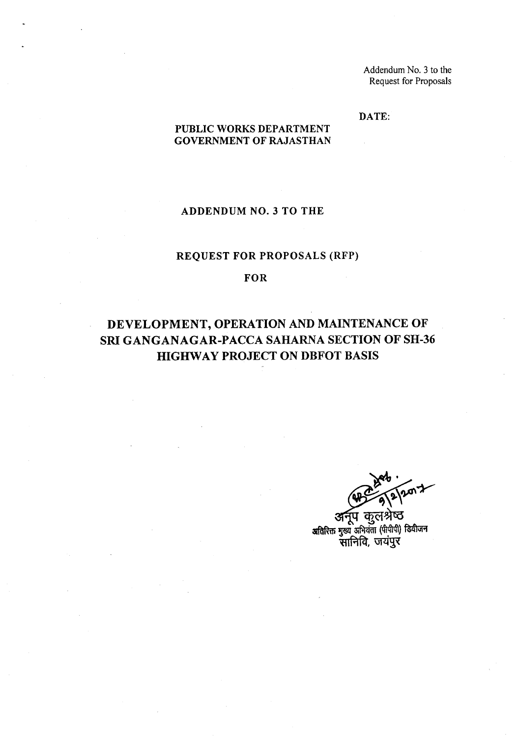DATE:

#### PUBLIC WORKS DEPARTMENT GOVERNMENT OF RAJASTHAN

### ADDENDUM NO.3 TO THE

## REQUEST FOR PROPOSALS (RFP)

#### FOR

# DEVELOPMENT, OPERATION AND MAINTENANCE OF SRI GANGANAGAR-PACCA SAHARNA SECTION OF SH-36 HIGHWAY PROJECT ON DBFOT BASIS

कल अतिरिक्त मुख्य अभियंता (पीपीपी) डिवीजन सानिवि, जयंपुर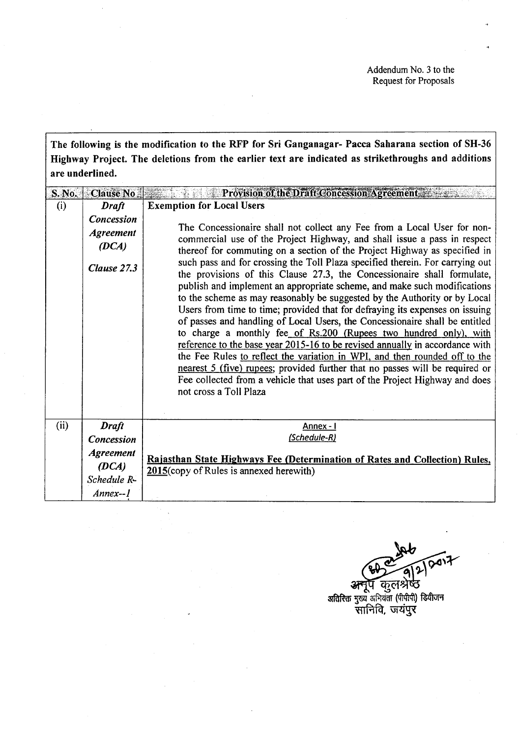The following is the modification to the RFP for Sri Ganganagar- Pacca Saharana section of SH-36 Highway Project. The deletions from the earlier text are indicated as strikethroughs and additions are underlined.

| S. No. | Clause No.                                             | Provision of the Draft Concession Agreement                                                                                                                                                                                                                                                                                                                                                                                                                                                                                                                                                                                                                                                                                                                                                                                                                                                                                                                                                                                                                                                                                                      |  |  |  |
|--------|--------------------------------------------------------|--------------------------------------------------------------------------------------------------------------------------------------------------------------------------------------------------------------------------------------------------------------------------------------------------------------------------------------------------------------------------------------------------------------------------------------------------------------------------------------------------------------------------------------------------------------------------------------------------------------------------------------------------------------------------------------------------------------------------------------------------------------------------------------------------------------------------------------------------------------------------------------------------------------------------------------------------------------------------------------------------------------------------------------------------------------------------------------------------------------------------------------------------|--|--|--|
| (i)    | <b>Draft</b>                                           | <b>Exemption for Local Users</b>                                                                                                                                                                                                                                                                                                                                                                                                                                                                                                                                                                                                                                                                                                                                                                                                                                                                                                                                                                                                                                                                                                                 |  |  |  |
|        | Concession<br><b>Agreement</b><br>(DCA)<br>Clause 27.3 | The Concessionaire shall not collect any Fee from a Local User for non-<br>commercial use of the Project Highway, and shall issue a pass in respect<br>thereof for commuting on a section of the Project Highway as specified in<br>such pass and for crossing the Toll Plaza specified therein. For carrying out<br>the provisions of this Clause 27.3, the Concessionaire shall formulate,<br>publish and implement an appropriate scheme, and make such modifications<br>to the scheme as may reasonably be suggested by the Authority or by Local<br>Users from time to time; provided that for defraying its expenses on issuing<br>of passes and handling of Local Users, the Concessionaire shall be entitled<br>to charge a monthly fee_of_Rs.200 (Rupees two hundred only), with<br>reference to the base year 2015-16 to be revised annually in accordance with<br>the Fee Rules to reflect the variation in WPI, and then rounded off to the<br>nearest 5 (five) rupees; provided further that no passes will be required or<br>Fee collected from a vehicle that uses part of the Project Highway and does<br>not cross a Toll Plaza |  |  |  |
| (ii)   | <b>Draft</b>                                           | Annex - I                                                                                                                                                                                                                                                                                                                                                                                                                                                                                                                                                                                                                                                                                                                                                                                                                                                                                                                                                                                                                                                                                                                                        |  |  |  |
|        | Concession                                             | (Schedule-R)                                                                                                                                                                                                                                                                                                                                                                                                                                                                                                                                                                                                                                                                                                                                                                                                                                                                                                                                                                                                                                                                                                                                     |  |  |  |
|        | <b>Agreement</b>                                       |                                                                                                                                                                                                                                                                                                                                                                                                                                                                                                                                                                                                                                                                                                                                                                                                                                                                                                                                                                                                                                                                                                                                                  |  |  |  |
|        | (DCA)                                                  | Rajasthan State Highways Fee (Determination of Rates and Collection) Rules.                                                                                                                                                                                                                                                                                                                                                                                                                                                                                                                                                                                                                                                                                                                                                                                                                                                                                                                                                                                                                                                                      |  |  |  |
|        | Schedule R-                                            | 2015(copy of Rules is annexed herewith)                                                                                                                                                                                                                                                                                                                                                                                                                                                                                                                                                                                                                                                                                                                                                                                                                                                                                                                                                                                                                                                                                                          |  |  |  |
|        | Annex--1                                               |                                                                                                                                                                                                                                                                                                                                                                                                                                                                                                                                                                                                                                                                                                                                                                                                                                                                                                                                                                                                                                                                                                                                                  |  |  |  |

अनूप कुलश्रेष्ठ

अतिरिक्त मुख्य अभियंता (पीपीपी) डियीजन<br>सानिवि, जयंपुर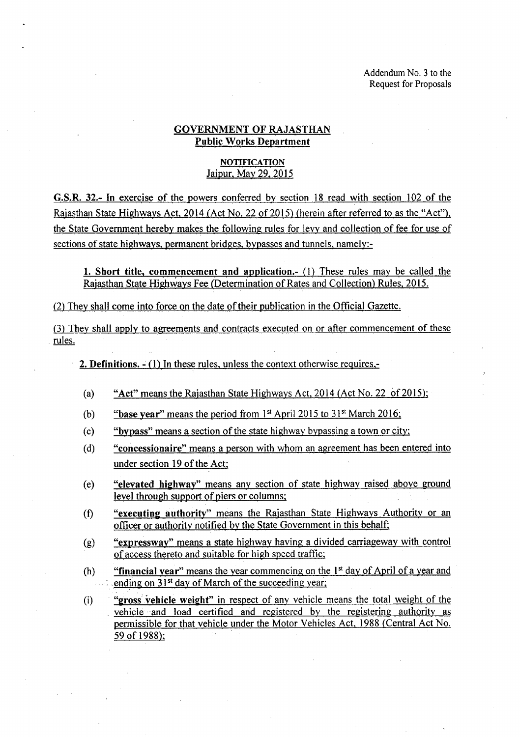#### GOVERNMENT OF RAJASTHAN Public Works Department

#### **NOTIFICATION** Jaipur, May 29, 2015

G.S.R. 32.- In exercise of the powers conferred by section 18 read with section 102 of the Rajasthan State Highways Act, 2014 (Act No. 22 of 2015) (herein after referred to as the "Act"), the State Government hereby makes the following rules for levy and collection of fee for use of sections of state highways, permanent bridges, bypasses and tunnels, namely:-

1. Short title, commencement and application.- (1) These rules may be called the Rajasthan State Highways Fee (Determination of Rates and Collection) Rules, 2015.

(2) They shall come into force on the date of their publication in the Official Gazette.

(3) They shall apply to agreements and contracts executed on or after commencement of these rules.

2. Definitions.  $-(1)$  In these rules, unless the context otherwise requires,-

- (a) "Act" means the Rajasthan State Highways Act,  $2014$  (Act No. 22 of 2015);
- (b) "base year" means the period from  $1<sup>st</sup>$  April 2015 to  $31<sup>st</sup>$  March 2016;
- (c) "bypass" means a section of the state highway bypassing a town or city;
- (d) "concessionaire" means a person with whom an agreement has been entered into under section 19 of the Act;
- (e) "elevated. highway" means any section of state highway raised above ground level through support of piers or columns;
- "executing authority" means the Rajasthan State Highways Authority or an officer or authority notified by the State Government in this behalf; (t)
- "expressway" means a state highway having a divided carriageway with control of access thereto and suitable for high speed traffic; (g)
- "financial year" means the year commencing on the  $1<sup>st</sup>$  day of April of a year and ending on  $31<sup>st</sup>$  day of March of the succeeding year; (h)
- "gross vehicle weight" in respect of any vehicle means the total weight of the vehicle and load certified and registered by the registering authority as permissible for that vehicle under the Motor Vehicles Act, 1988 (Central Act No. 59 of 1988); (i)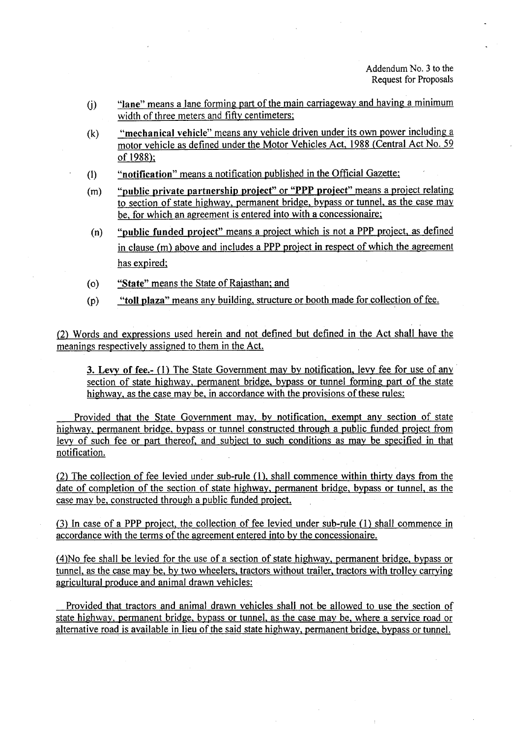- $U($ ) "lane" means a lane forming part of the main carriageway and having a minimum width of three meters and fifty centimeters;
- (k) "mechanical vehicle" means any vehicle driven under its own power including a motor vehicle as defined under the Motor Vehicles Act, 1988 (Central Act No. 59 of 1988);
- (I) "notification" means a notification published in the Official Gazette;
- (m) "public private partnership project" or "PPP project" means a project relating to section of state highway, permanent bridge, bypass or tunnel, as the case may be, for which an agreement is entered into with a concessionaire;
- (n) "public funded project" means a project which is not a PPP project, as defined in clause (m) above and includes a PPP project in respect of which the agreement has expired;
- (0) "State" means the State of Rajasthan; and
- (P) "toll plaza" means any building, structure or booth made for collection of fee.

(2) Words and expressions used herein and not defined but defined in the Act shall have the meanings respectively assigned to them in the Act.

3. Levy of fee.- (1) The State Government may by notification, levy fee for use of any section of state highway, permanent bridge, bypass or tunnel forming part of the state highway, as the case may be, in accordance with the provisions of these rules:

Provided that the State Government may, by notification, exempt any section of state highway, permanent bridge, bypass or tunnel constructed through a public funded project from levy of such fee or part thereof, and subject to such conditions as may be specified in that notification.

(2) The collection of fee levied under sub-rule (1), shall commence within thirty days from the date of completion of the section of state highway, permanent bridge, bypass or tunnel, as the case may be, constructed through a public funded project.

(3) In case of a PPP project, the collection of fee levied under sub-rule (1) shall commence in accordance with the terms of the agreement entered into by the concessionaire.

(4)No fee shall be levied for the use of a section of state highway, permanent bridge, bypass or tunnel, as the case may be, by two wheelers, tractors without trailer, tractors with trolley carrying agricultural produce and animal drawn vehicles:

Provided that tractors and animal drawn vehicles shall not be allowed to use the section of state highway, permanent bridge, bypass or tunnel, as the case may be, where a service road or alternative road is available in lieu of the said state highway, permanent bridge, bypass or tunnel.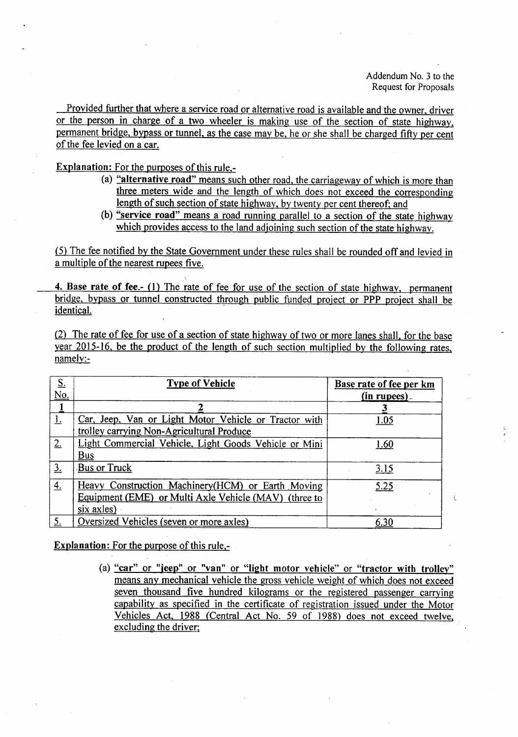Provided further that where a service road or alternative road is available and the owner, driver or the person in charge of a two wheeler is making use of the section of state highway, permanent bridge, bypass or tunnel, as the case may be, he or she shall be charged fifty per cent of the fee levied on a car.

Explanation: For the purposes of this rule,-

- (a) "alternative road" means such other road, the carriageway of which is more than three meters wide and the length of which does not exceed the corresponding length of such section of state highway, by twenty per cent thereof; and
- (b) "service road" means a road running parallel to a section of the state highway which provides access to the land adjoining such section of the state highway.

(5) The fee notified by the State Government under these rules shall be rounded off and levied in a multiple of the nearest rupees five.

4. Base rate of fee.- (1) The rate of fee for use of the section of state highway, permanent bridge, bypass or tunnel constructed through public funded project or PPP project shall be identical.

(2) The rate of fee for use of a section of state highway of two or more lanes shall, for the base year 2015-16, be the product of the length of such section multiplied by the following rates, namely:-

| $S_{\cdot}$<br>No. | <b>Type of Vehicle</b>                                | Base rate of fee per km<br>$(in rupees)$ . |
|--------------------|-------------------------------------------------------|--------------------------------------------|
|                    |                                                       |                                            |
|                    | Car, Jeep, Van or Light Motor Vehicle or Tractor with | 1.05                                       |
|                    | trolley carrying Non-Agricultural Produce             |                                            |
| 2.                 | Light Commercial Vehicle, Light Goods Vehicle or Mini | <u>1.60</u>                                |
|                    | <b>Bus</b>                                            |                                            |
| $\overline{3}$ .   | Bus or Truck                                          | 3.15                                       |
| 4.                 | Heavy Construction Machinery (HCM) or Earth Moving    | 5.25                                       |
|                    | Equipment (EME) or Multi Axle Vehicle (MAV) (three to |                                            |
|                    | six axles)                                            |                                            |
|                    | Oversized Vehicles (seven or more axles)              | 6.30                                       |

Explanation: For the purpose of this rule,-

(a) "car" or "jeep" or "van" or "light motor vehicle" or "tractor with trolley" means any mechanical vehicle the gross vehicle weight of which does not exceed seven thousand five hundred kilograms or the registered passenger carrying capability as specified in the certificate of registration issued under the Motor Vehicles Act, 1988 (Central Act No. 59 of 1988) does not exceed twelve, excluding the driver;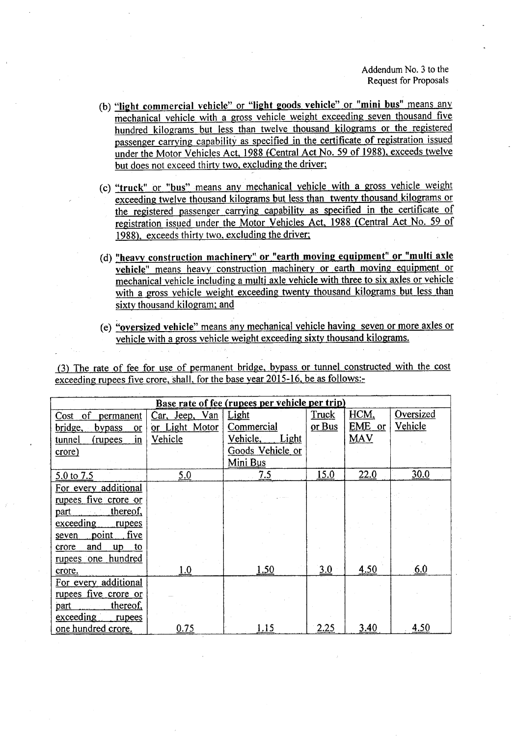- (b) "light commercial vehicle" or "light goods vehicle" or "mini bus" means any mechanical vehicle with a gross vehicle weight exceeding seven thousand five hundred kilograms but less than twelve thousand kilograms or the registered passenger carrying capability as specified in the certificate of registration issued under the Motor Vehicles Act, 1988 (Central Act No. 59 of 1988), exceeds twelve but does not exceed thirty two, excluding the driver;
- (c) "truck" or "bus" means any mechanical vehicle with a gross vehicle weight exceeding twelve thousand kilograms but less than twenty thousand kilograms or the registered passenger carrying capability as specified in the certificate of registration issued under the Motor Vehicles Act, 1988 (Central Act No. 59 of 1988), exceeds thirty two, excluding the driver;
- (d) "heavy construction machinery" or "earth moving equipment" or "multi axle vehicle" means heavy construction machinery or earth moving equipment or mechanical vehicle including a multi axle vehicle with three to six axles or vehicle with a gross vehicle weight exceeding twenty thousand kilograms but less than sixty thousand kilogram; and
- (e) "oversized vehicle" means any mechanical vehicle having seven or more axles or vehicle with a gross vehicle weight exceeding sixty thousand kilograms.

(3) The rate of fee for use of permanent bridge, bypass or tunnel constructed with the cost exceeding rupees five crore, shall, for the base year 2015-16, be as follows:-

| Base rate of fee (rupees per vehicle per trip) |                   |                          |              |            |           |  |  |  |
|------------------------------------------------|-------------------|--------------------------|--------------|------------|-----------|--|--|--|
| of<br>Cost<br>permanent                        | Jeep, Van<br>Car, | Light                    | <b>Truck</b> | HCM,       | Oversized |  |  |  |
| bridge,<br>bypass<br>or                        | or Light Motor    | Commercial               | or Bus       | EME<br>or  | Vehicle   |  |  |  |
| tunnel<br>(rupees)<br>$\mathbf{in}$            | Vehicle           | Vehicle,<br><b>Light</b> |              | <b>MAV</b> |           |  |  |  |
| crore)                                         |                   | Goods Vehicle or         |              |            |           |  |  |  |
|                                                |                   | Mini Bus                 |              |            |           |  |  |  |
| 5.0 to 7.5                                     | 5,0               | 7.5                      | 15.0         | 22.0       | 30.0      |  |  |  |
| For every additional                           |                   |                          |              |            |           |  |  |  |
| rupees five crore or                           |                   |                          |              |            |           |  |  |  |
| thereof,<br>part                               |                   |                          |              |            |           |  |  |  |
| exceeding<br>rupees                            |                   |                          |              |            |           |  |  |  |
| five<br>point<br>seven                         |                   |                          |              |            |           |  |  |  |
| and<br>crore<br>$\mathbf{u} \mathbf{p}$<br>to  |                   |                          |              |            |           |  |  |  |
| rupees one hundred                             |                   |                          |              |            |           |  |  |  |
| crore.                                         | 1.0               | 1.50                     | 3.0          | 4.50       | 6.0       |  |  |  |
| For every additional                           |                   |                          |              |            |           |  |  |  |
| rupees five crore or                           |                   |                          |              |            |           |  |  |  |
| thereof,<br>part                               |                   |                          |              |            |           |  |  |  |
| exceeding<br>rupees                            |                   |                          |              |            |           |  |  |  |
| one hundred crore.                             | 0.75              | 1.15                     | 2.25         | 3.40       | 4.50      |  |  |  |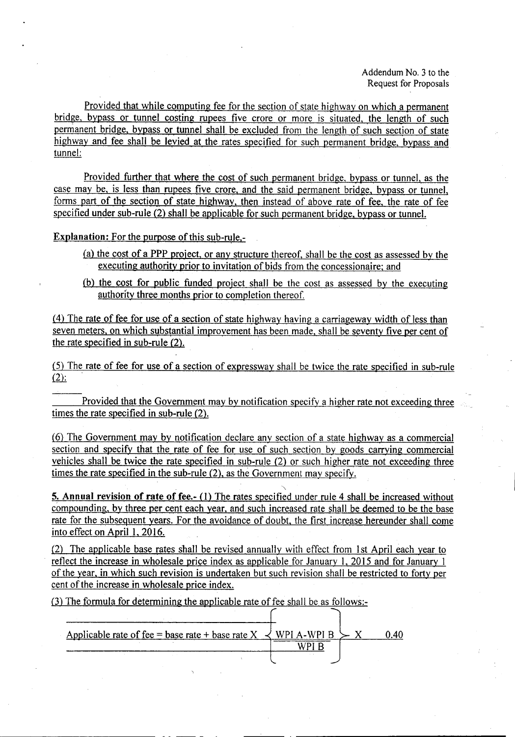Provided that while computing fee for the section of state highway on which a permanent bridge, bypass or tunnel costing rupees five crore or more is situated, the length of such permanent bridge, bypass or tunnel shall be excluded from the length of such section of state highway and fee shall be levied at the rates specified for such permanent bridge, bypass and tunnel:

Provided further that where the cost of such permanent bridge, bypass or tunnel, as the case may be, is less than rupees five crore, and the said permanent bridge, bypass or tunnel, forms part of the section of state highway, then instead of above rate of fee, the rate of fee specified under sub-rule (2) shall be applicable for such permanent bridge, bypass or tunnel.

Explanation: For the purpose of this sub-rule,-

- (a) the cost of a PPP project, or any structure thereof, shall be the cost as assessed by the executing authority prior to invitation of bids from the concessionaire; and
- (b) the cost for public funded project shall be the cost as assessed by the executing authority three months prior to completion thereof.

(4) The rate of fee for use of a section of state highway having a carriageway width of less than seven meters, on which substantial improvement has been made, shall be seventy five per cent of the rate specified in sub-rule (2).

(5) The rate of fee for use of a section of expressway shall be twice the rate specified in sub-rule  $(2)$ :

Provided that the Government may by notification specify a higher rate not exceeding three times the rate specified in sub-rule (2).

(6) The Government may by notification declare any section of a state highway as a commercial section and specify that the rate of fee for use of such section by goods carrying commercial vehicles shall be twice the rate specified in sub-rule (2) or such higher rate not exceeding three times the rate specified in the sub-rule (2), as the Government may specify.

5. Annual revision of rate of fee.- (1) The rates specified under rule 4 shall be increased without compounding, by three per cent each year, and such increased rate shall be deemed to be the base rate for the subsequent years. For the avoidance of doubt. the first increase hereunder shall come into effect on April 1, 2016.

"

(2) The applicable base rates shall be revised annually with effect from 1st April each year to reflect the increase in wholesale price index as applicable for January 1, 2015 and for January 1 of the year, in which such revision is undertaken but such revision shall be restricted to forty per cent of the increase in wholesale price index.

(3) The formula for determining the applicable rate of fee shall be as follows:-

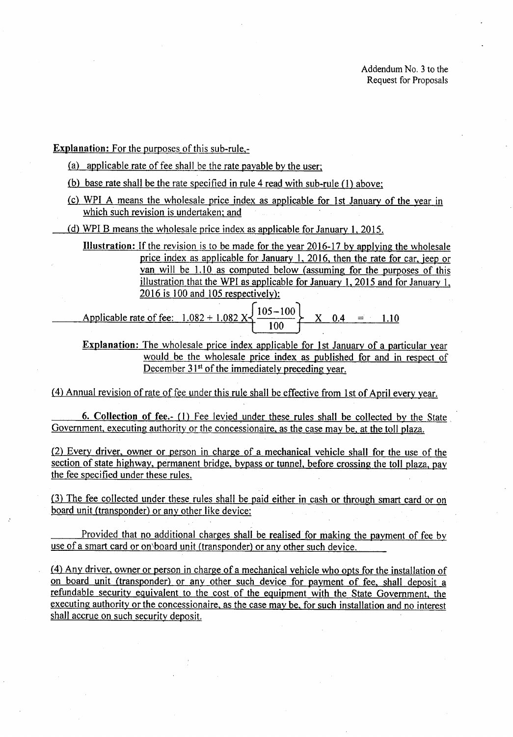Explanation: For the purposes of this sub-rule,·

- (a) applicable rate of fee shall be the rate payable by the user;
- (b) base rate shall be the rate specified in rule 4 read with sub-rule (1) above;
- (c) WPI A means the wholesale price index as applicable for 1st January of the year in which such revision is undertaken; and
- (d) WPI B means the wholesale price index as applicable for January 1, 2015.
	- Illustration: If the revision is to be made for the year 2016-17 by applying the wholesale price index as applicable for January 1, 2016, then the rate for car, jeep or van will be 1.10 as computed below (assuming for the purposes of this illustration that the WPI as applicable for January 1, 2015 and for January 1, 2016 is 100 and 105 respectively):
	- Applicable rate of fee:  $1.082 + 1.082$  X  $\frac{105-100}{100}$  $X = 0.4 = 1.10$
	- Explanation: The wholesale price index applicable for 1st January of a particular year would be the wholesale price index as published for and in respect of December 31<sup>st</sup> of the immediately preceding year.

(4) Annual revision of rate of fee under this rule shall be effective from 1st of April every year.

6. Collection of fee.- (1) Fee levied under these rules shall be collected by the State. Government, executing authority or the concessionaire, as the case may be, at the toll plaza.

(2) Every driver, owner or person in charge of a mechanical vehicle shall for the use of the section of state highway, permanent bridge, bypass or tunnel, before crossing the toll plaza, pay the fee specified under these rules.

(3) The fee collected under these rules shall be paid either in cash or through smart card or on board unit (transponder) or any other like device:

Provided that no additional charges shall be realised for making the payment of fee by use of a smart card or on board unit (transponder) or any other such device.

(4) Any driver, owner or person in charge of a mechanical vehicle who opts for the installation of on board unit (transponder) or any other such device for payment of fee, shall deposit a refundable security equivalent to the cost of the equipment with the State Government, the executing authority or the concessionaire, as the case may be, for such installation and no interest shall accrue on such security deposit.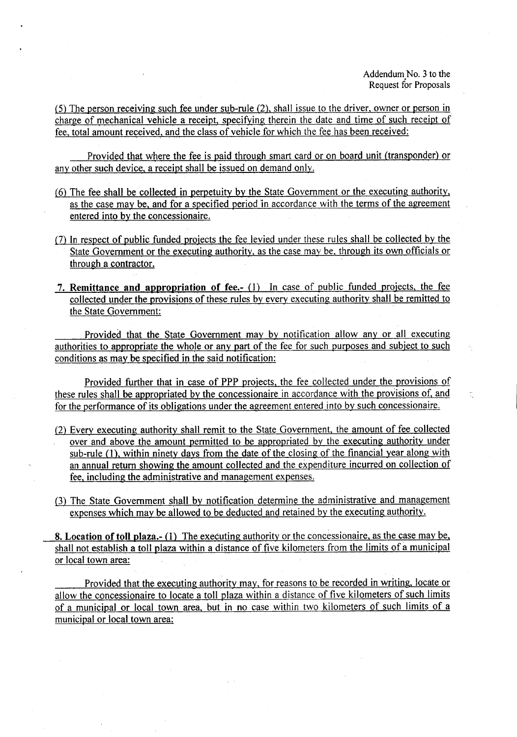(5) The person receiving such fee under sub-rule (2), shall issue to the driver, owner or person in charge of mechanical vehicle a receipt, specifying therein the date and time of such receipt of fee, total amount received, and the class of vehicle for which the fee has been received:

Provided that where the fee is paid through smart card or on board unit (transponder) or any other such device, a receipt shall be issued on demand only.

- (6) The fee shall be collected in perpetuity by the State Government or the executing authority, as the case may be, and for a specified period in accordance with the terms of the agreement entered into by the concessionaire.
- (7) In respect of public funded projects the fee levied under these rules shall be collected by the State Government or the executing authority, as the case may be, through its own officials or through a contractor.
- 7. Remittance and appropriation of fee.- (1) In case of public funded projects, the fee collected under the provisions of these rules by every executing authority shall be remitted to the State Government:

Provided that the State Government may by notification allow any or all executing authorities to appropriate the whole or any part of the fee for such purposes and subject to such conditions as may be specified in the said notification:

Provided further that in case of PPP projects, the fee collected under the provisions of these rules shall be appropriated by the concessionaire in accordance with the provisions of, and for the performance of its obligations under the agreement entered into by such concessionaire.

- (2) Every executing authority shall remit to the State Government, the amount of fee collected over and above the amount permitted to be appropriated by the executing authority under sub-rule (1), within ninety days from the date of the closing of the financial year along with an annual return showing the amount collected and the expenditure incurred on collection of fee, including the administrative and'management expenses.
- (3) The State Government shall by notification determine the administrative and management expenses which may be allowed to be deducted and retained by the executing authority.

8. Location of toll plaza.- (1) The executing authority or the concessionaire, as the case may be, shall not establish a toll plaza within a distance of five kilometers from the limits of a municipal or local town area:

Provided that the executing authority may, for reasons to be recorded in writing, locate or allow the concessionaire to locate a toll plaza within a distance of five kilometers of such limits of a municipal or local town area, but in no case within two kilometers of such limits of a municipal or local town area: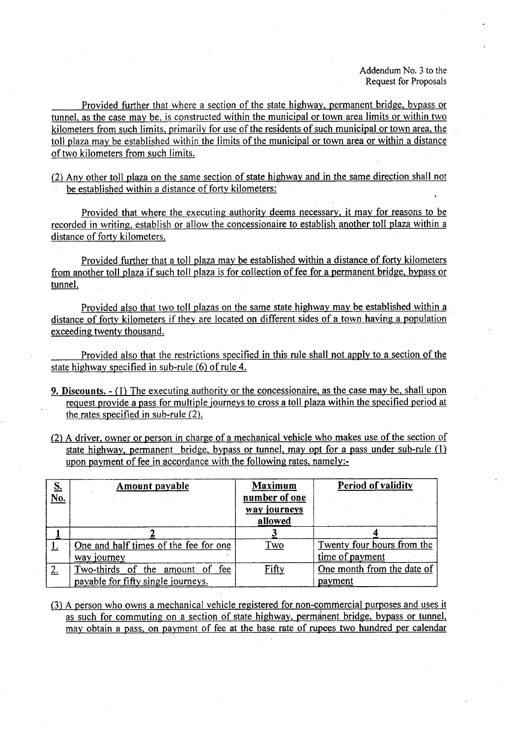Provided further that where a section of the state highway, permanent bridge, bypass or tunnel, as the case may be, is constructed within the municipal or town area limits or within two kilometers from such limits, primarily for use of the residents of such municipal or town area, the toll plaza may be established within the limits of the municipal or town area or within a distance of two kilometers from such limits.

(2) Any other toll plaza on the same section of state highway and in the same direction shall not be established within a distance of forty kilometers:

Provided that where the executing authority deems necessary, it may for reasons to be recorded in writing, establish or allow the concessionaire to establish another toll plaza within a distance of forty kilometers.

Provided further that a toll plaza may be established within a distance of forty kilometers from another toll plaza if such toll plaza is for collection of fee for a permanent bridge, bypass or tunnel.

Provided also that two toll plazas on the same state highway may be established within a distance of forty kilometers if they are located on different sides of a town having a population exceeding twenty thousand.

Provided also that the restrictions specified in this rule shall not apply to a section of the state highway specified in sub-rule (6) of rule 4.

- 9. Discounts. (1) The executing authority or the concessionaire, as the case may be, shall upon request provide a pass for multiple journeys to cross a toll plaza within the specified period at the rates specified in sub-rule (2).
- (2) A driver, owner or person in charge of a mechanical vehicle who makes use of the section of state highway. permanent bridge, bypass or tunnel, may opt for a pass under sub-rule (1) upon payment of fee in accordance with the following rates, namely:-

| $\frac{S}{No}$ | Amount payable                        | <b>Maximum</b><br>number of one | Period of validity         |
|----------------|---------------------------------------|---------------------------------|----------------------------|
|                |                                       | way journeys<br>allowed         |                            |
|                |                                       |                                 |                            |
|                | One and half times of the fee for one | <u>Two</u>                      | Twenty four hours from the |
|                | way journey                           |                                 | time of payment            |
| 2.             | Two-thirds of the amount of fee       | <u>Fifty</u>                    | One month from the date of |
|                | payable for fifty single journeys.    |                                 | payment                    |

(3) A person who owns a mechanical vehicle registered for non-commercial purposes and uses it as such for commuting on a section of state highway, permanent bridge, bypass or tunnel, may obtain a pass, on payment of fee at the base rate of rupees two hundred per calendar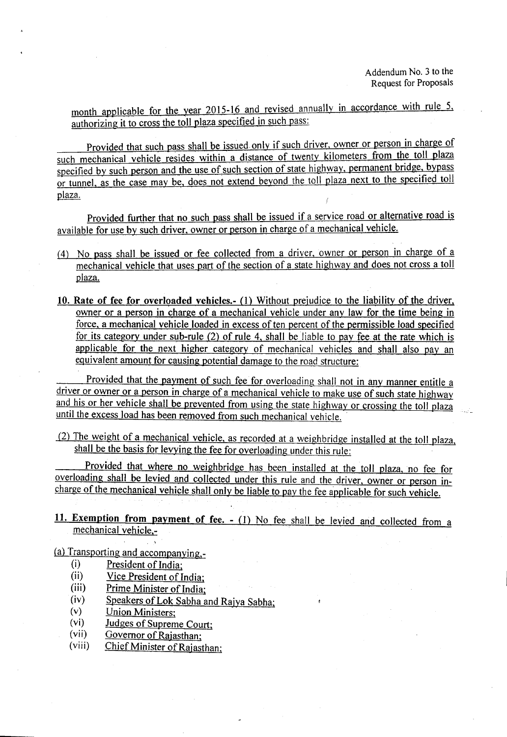month applicable for the year 2015-16 and revised annually in accordance with rule 5, authorizing it to cross the toll plaza specified in such pass:

Provided that such pass shall be issued only if such driver, owner or person in charge of such mechanical vehicle resides within a distance of twenty kilometers from the toll plaza specified by such person and the use of such section of state highway, permanent bridge, bypass or tunnel, as the case may be, does not extend beyond the toll plaza next to the specified toll plaza.

Provided further that no such pass shall be issued if a service road or alternative road is available for use by such driver, owner or person in charge of a mechanical vehicle.

- (4) No pass shall be issued or fee collected from a driver, owner or person in charge of a mechanical vehicle that uses part of the section of a state highway and does not cross a toll plaza.
- 10. Rate of fee for overloaded vehicles.- (1) Without prejudice to the liability of the driver, owner or a person in charge of a mechanical vehicle under any law for the time being in force, a mechanical vehicle loaded in excess of ten percent of the permissible load specified for its category under sub-rule (2) of rule 4, shall be liable to pay fee at the rate which is applicable for the next higher category of mechanical vehicles and shall also pay an equivalent amount for causing potential damage to the road structure:

Provided that the payment of such fee for overloading shall not in any manner entitle a driver or owner or a person in charge of a mechanical vehicle to make use of such state highway and his or her vehicle shall be prevented from using the state highway or crossing the toll plaza until the excess load has been removed from such mechanical vehicle.

(2) The weight of a mechanical vehicle, as recorded at a weighbridge installed at the toll plaza, shall be the basis for levying the fee for overloading under this rule:

Provided that where no weighbridge has been installed at the toll plaza, no fee for overloading shall be levied and collected under this rule and the driver, owner or person incharge of the mechanical vehicle shall only be liable to pay the fee applicable for such vehicle.

11. Exemption from payment of fee. - (1) No fee shall be levied and collected from a mechanical vehicle,-

(a) Transporting and accompanying,-

- (i) President of India;<br>(ii) Vice President of I
- (ii) Vice President of India;<br>(iii) Prime Minister of India:
- Prime Minister of India;
- (iv) Speakers of Lok Sabha and Rajya Sabha;<br>(v) Union Ministers:
- (v)  $\frac{\text{Union Ministers}}{\text{Judges of Sunrem}}$
- Judges of Supreme Court:
- (vii) Governor of Rajasthan;
- (viii) Chief Minister of Rajasthan;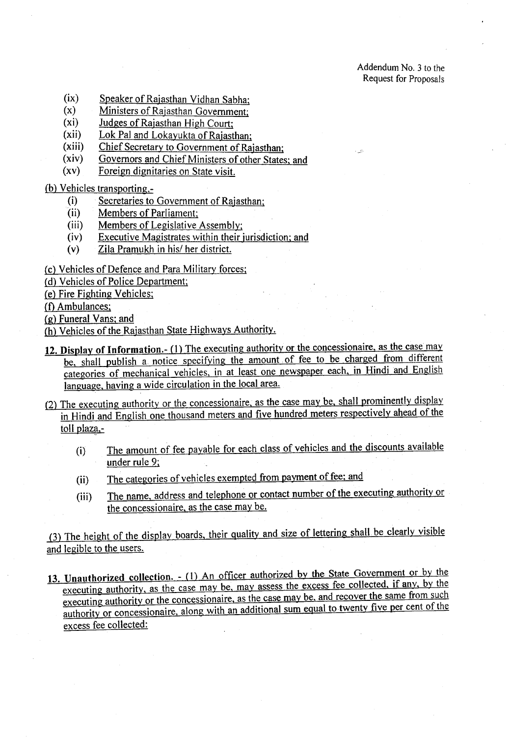- (ix) Speaker of Rajasthan Vidhan Sabha;
- (x) Ministers of Rajasthan Government;
- (xi) Judges of Rajasthan High Court;
- (xii) Lok Pal and Lokayukta of Rajasthan;
- (xiii) Chief Secretary to Government of Rajasthan;
- (xiv) Governors and Chief Ministers of other States; and
- (xv) Foreign dignitaries on State visit.
- (b) Vehicles transporting,-
	- .(i) Secretaries to Government of Rajasthan;
	- (ii) Members of Parliament;
	- (iii) Members of Legislative Assembly;
	- (iv) Executive Magistrates within their jurisdiction; and
	- (v) Zila Pramukh in his/ her district.
- (c) Vehicles of Defence and Para Military forces;
- (d) Vehicles of Police Department;
- (e) Fire Fighting Vehicles:
- (f) Ambulances;
- (g) Funeral Vans; and
- (h) Vehicles of the Rajasthan State Highways Authority.
- 12. Display of Information.- (1) The executing authority or the concessionaire, as the case may be, shall publish a. notice specifying the amount of fee to be charged from different categories of mechanical vehicles, in at least one newspaper each, in Hindi and English language, having a wide circulation in the local area.
- (2) The executing authority or the concessionaire, as the case may be, shall prominently display in Hindi and English one thousand meters and five hundred meters respectively ahead of the toll plaza,-
	- (i) The amount of fee payable for each class of vehicles and the discounts available under rule 9;
	- (ii) The categories of vehicles exempted from payment of fee; and
	- (iii) The name, address and telephone or contact number of the executing authority or the concessionaire, as the case may be.

(3) The height of the display boards, their quality and size of lettering shall. be clearly visible and legible to the users.

13. Unauthorized collection. - (1) An officer authorized by the State Government or by the executing authority, as the case may be, may assess the excess fee collected, if any, by the executing authority or the concessionaire, as the case may be, and recover the same from such authority or concessionaire, along with an additional sum equal to twenty five per cent of the excess fee collected: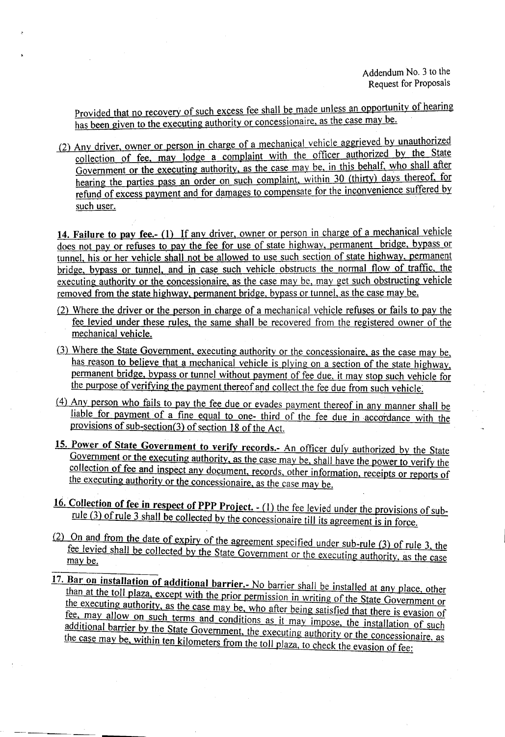Provided that no recovery of such excess fee shall be made unless an opportunity of hearing has been given to the executing authority or concessionaire, as the case may be.

(2) Any driver, owner or person in charge of a mechanical vehicle aggrieved by unauthorized collection of fee, may lodge a complaint with the officer authorized by the State Government or the executing authority, as the case may be, in this behalf, who shall after hearing the parties pass an order on such complaint, within 30 (thirty) days thereof, for refund of excess payment and for damages to compensate for the inconvenience suffered by such user.

14. Failure to pay fee.- (1) If any driver, owner or person in charge of a mechanical vehicle does not pay or refuses to pay the fee for use of state highway, permanent bridge, bypass or tunnel, his or her vehicle shall not be allowed to use such section of state highway, permanent bridge, bypass or tunnel, and in case such vehicle obstructs the normal flow of traffic, the executing authority or the concessionaire, as the case may be, may get such obstructing vehicle removed from the state highway, permanent bridge, bypass or tunnel, as the case may be.

- $(2)$  Where the driver or the person in charge of a mechanical vehicle refuses or fails to pay the fee levied under these rules, the same shall be recovered from the registered owner of the mechanical vehicle.
- (3) Where the State Government, executing authority or the concessionaire, as the case may be, has reason to believe that a mechanical vehicle is plying on a section of the state highway, permanent bridge, bypass or tunnel without payment of fee due. it may stop such vehicle for the purpose of verifying the payment thereof and collect the fee due from such vehicle.
- (4) Any person who fails to pay the fee due or evades payment thereof in any manner shall be liable for payment of a fine equal to one- third of the fee due in accordance with the provisions of sub-section(3) of section 18 of the Act.
- 15. Power of State Government to verify records.- An officer duly authorized by the State Government or the executing authority, as the case may be, shall have the power to verify the collection of fee and inspect any document, records, other information, receipts or reports of the executing authority or the concessionaire, as the case may be.
- 16. Collection of fee in respect of PPP Project. (1) the fee levied under the provisions of subrule (3) of rule 3 shall be collected by the concessionaire till its agreement is in force.
- (2) On and from the date of expiry of the agreement specified under sub-rule (3) of rule 3, the fee levied shall be collected by the State Government or the executing authority, as the case<br>may be. may be.
- 17. Bar on installation of additional barrier.- No barrier shall be installed at any place, other than at the toll plaza, except with the prior permission in writing of the State Government or the executing authority, as the case may be, who after being satisfied that there is evasion of fee, may allow on such terms and conditions as it may impose, the installation of such additional barrier by the State Government, the executing authority or the concessionaire, as the case may be, within ten kilometers from the toll plaza, to check the evasion of fee: